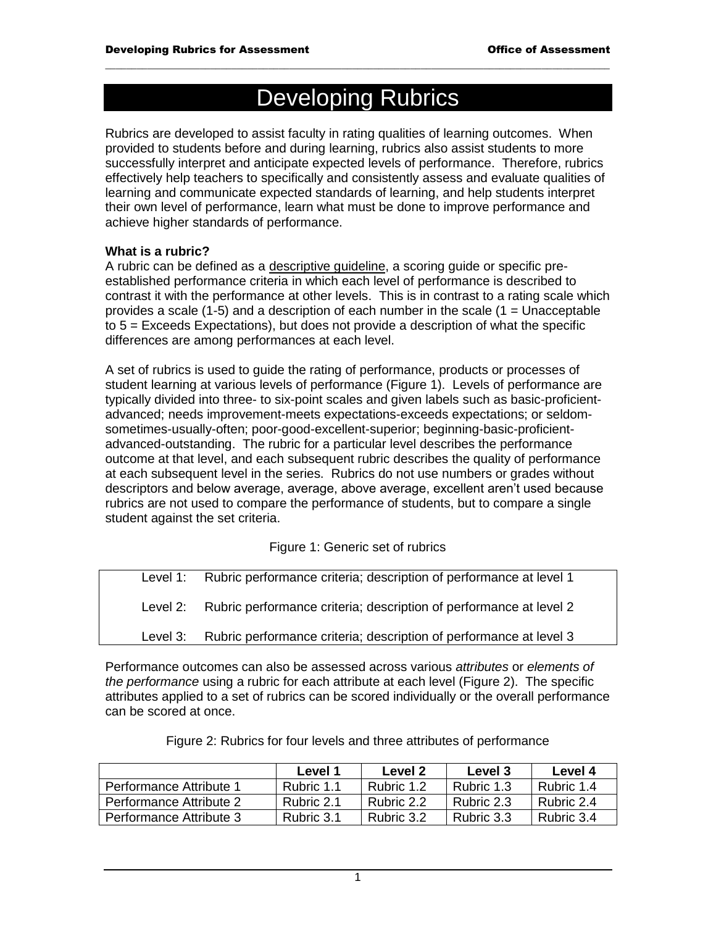# Developing Rubrics

 $\mathcal{L}_\mathcal{L} = \{ \mathcal{L}_\mathcal{L} = \{ \mathcal{L}_\mathcal{L} = \{ \mathcal{L}_\mathcal{L} = \{ \mathcal{L}_\mathcal{L} = \{ \mathcal{L}_\mathcal{L} = \{ \mathcal{L}_\mathcal{L} = \{ \mathcal{L}_\mathcal{L} = \{ \mathcal{L}_\mathcal{L} = \{ \mathcal{L}_\mathcal{L} = \{ \mathcal{L}_\mathcal{L} = \{ \mathcal{L}_\mathcal{L} = \{ \mathcal{L}_\mathcal{L} = \{ \mathcal{L}_\mathcal{L} = \{ \mathcal{L}_\mathcal{$ 

Rubrics are developed to assist faculty in rating qualities of learning outcomes. When provided to students before and during learning, rubrics also assist students to more successfully interpret and anticipate expected levels of performance. Therefore, rubrics effectively help teachers to specifically and consistently assess and evaluate qualities of learning and communicate expected standards of learning, and help students interpret their own level of performance, learn what must be done to improve performance and achieve higher standards of performance.

#### **What is a rubric?**

A rubric can be defined as a descriptive guideline, a scoring guide or specific preestablished performance criteria in which each level of performance is described to contrast it with the performance at other levels. This is in contrast to a rating scale which provides a scale (1-5) and a description of each number in the scale (1 = Unacceptable to 5 = Exceeds Expectations), but does not provide a description of what the specific differences are among performances at each level.

A set of rubrics is used to guide the rating of performance, products or processes of student learning at various levels of performance (Figure 1). Levels of performance are typically divided into three- to six-point scales and given labels such as basic-proficientadvanced; needs improvement-meets expectations-exceeds expectations; or seldomsometimes-usually-often; poor-good-excellent-superior; beginning-basic-proficientadvanced-outstanding. The rubric for a particular level describes the performance outcome at that level, and each subsequent rubric describes the quality of performance at each subsequent level in the series. Rubrics do not use numbers or grades without descriptors and below average, average, above average, excellent aren't used because rubrics are not used to compare the performance of students, but to compare a single student against the set criteria.

#### Figure 1: Generic set of rubrics

Level 1: Rubric performance criteria; description of performance at level 1 Level 2: Rubric performance criteria; description of performance at level 2 Level 3: Rubric performance criteria; description of performance at level 3

Performance outcomes can also be assessed across various *attributes* or *elements of the performance* using a rubric for each attribute at each level (Figure 2). The specific attributes applied to a set of rubrics can be scored individually or the overall performance can be scored at once.

|                         | Level 1    | Level 2    | Level 3    | Level 4    |
|-------------------------|------------|------------|------------|------------|
| Performance Attribute 1 | Rubric 1.1 | Rubric 1.2 | Rubric 1.3 | Rubric 1.4 |
| Performance Attribute 2 | Rubric 2.1 | Rubric 2.2 | Rubric 2.3 | Rubric 2.4 |
| Performance Attribute 3 | Rubric 3.1 | Rubric 3.2 | Rubric 3.3 | Rubric 3.4 |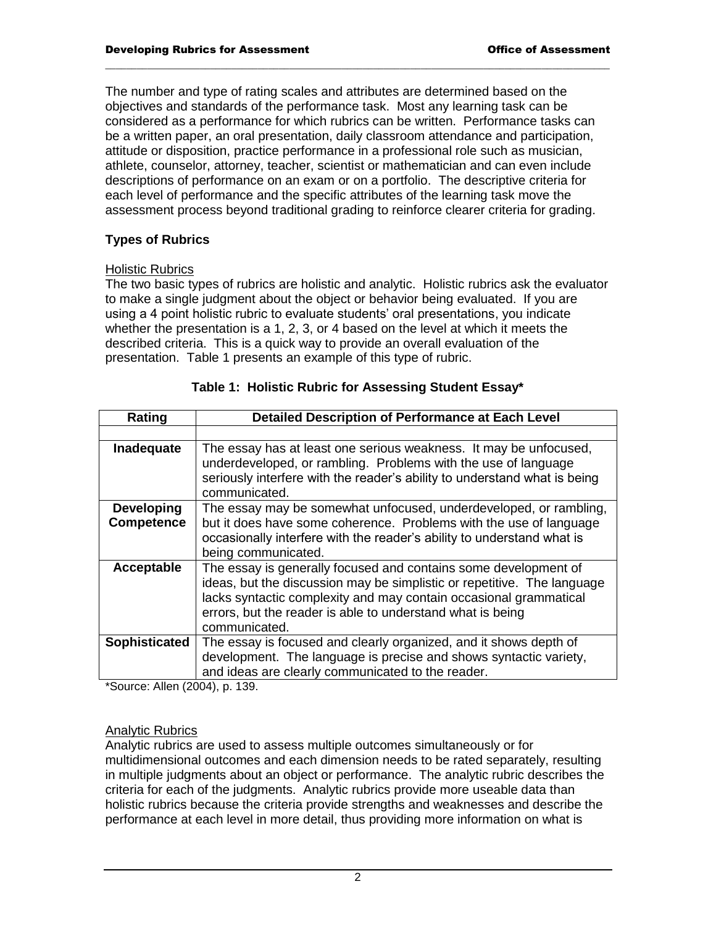The number and type of rating scales and attributes are determined based on the objectives and standards of the performance task. Most any learning task can be considered as a performance for which rubrics can be written. Performance tasks can be a written paper, an oral presentation, daily classroom attendance and participation, attitude or disposition, practice performance in a professional role such as musician, athlete, counselor, attorney, teacher, scientist or mathematician and can even include descriptions of performance on an exam or on a portfolio. The descriptive criteria for each level of performance and the specific attributes of the learning task move the assessment process beyond traditional grading to reinforce clearer criteria for grading.

 $\mathcal{L}_\mathcal{L} = \{ \mathcal{L}_\mathcal{L} = \{ \mathcal{L}_\mathcal{L} = \{ \mathcal{L}_\mathcal{L} = \{ \mathcal{L}_\mathcal{L} = \{ \mathcal{L}_\mathcal{L} = \{ \mathcal{L}_\mathcal{L} = \{ \mathcal{L}_\mathcal{L} = \{ \mathcal{L}_\mathcal{L} = \{ \mathcal{L}_\mathcal{L} = \{ \mathcal{L}_\mathcal{L} = \{ \mathcal{L}_\mathcal{L} = \{ \mathcal{L}_\mathcal{L} = \{ \mathcal{L}_\mathcal{L} = \{ \mathcal{L}_\mathcal{$ 

#### **Types of Rubrics**

#### Holistic Rubrics

The two basic types of rubrics are holistic and analytic. Holistic rubrics ask the evaluator to make a single judgment about the object or behavior being evaluated. If you are using a 4 point holistic rubric to evaluate students' oral presentations, you indicate whether the presentation is a 1, 2, 3, or 4 based on the level at which it meets the described criteria. This is a quick way to provide an overall evaluation of the presentation. Table 1 presents an example of this type of rubric.

| Rating               | <b>Detailed Description of Performance at Each Level</b>                                                                                                                                                                                                                                       |  |  |
|----------------------|------------------------------------------------------------------------------------------------------------------------------------------------------------------------------------------------------------------------------------------------------------------------------------------------|--|--|
|                      |                                                                                                                                                                                                                                                                                                |  |  |
| Inadequate           | The essay has at least one serious weakness. It may be unfocused,<br>underdeveloped, or rambling. Problems with the use of language<br>seriously interfere with the reader's ability to understand what is being<br>communicated.                                                              |  |  |
| <b>Developing</b>    | The essay may be somewhat unfocused, underdeveloped, or rambling,                                                                                                                                                                                                                              |  |  |
| <b>Competence</b>    | but it does have some coherence. Problems with the use of language<br>occasionally interfere with the reader's ability to understand what is<br>being communicated.                                                                                                                            |  |  |
| Acceptable           | The essay is generally focused and contains some development of<br>ideas, but the discussion may be simplistic or repetitive. The language<br>lacks syntactic complexity and may contain occasional grammatical<br>errors, but the reader is able to understand what is being<br>communicated. |  |  |
| <b>Sophisticated</b> | The essay is focused and clearly organized, and it shows depth of<br>development. The language is precise and shows syntactic variety,<br>and ideas are clearly communicated to the reader.                                                                                                    |  |  |

|  | Table 1: Holistic Rubric for Assessing Student Essay* |  |
|--|-------------------------------------------------------|--|
|  |                                                       |  |

\*Source: Allen (2004), p. 139.

#### Analytic Rubrics

Analytic rubrics are used to assess multiple outcomes simultaneously or for multidimensional outcomes and each dimension needs to be rated separately, resulting in multiple judgments about an object or performance. The analytic rubric describes the criteria for each of the judgments. Analytic rubrics provide more useable data than holistic rubrics because the criteria provide strengths and weaknesses and describe the performance at each level in more detail, thus providing more information on what is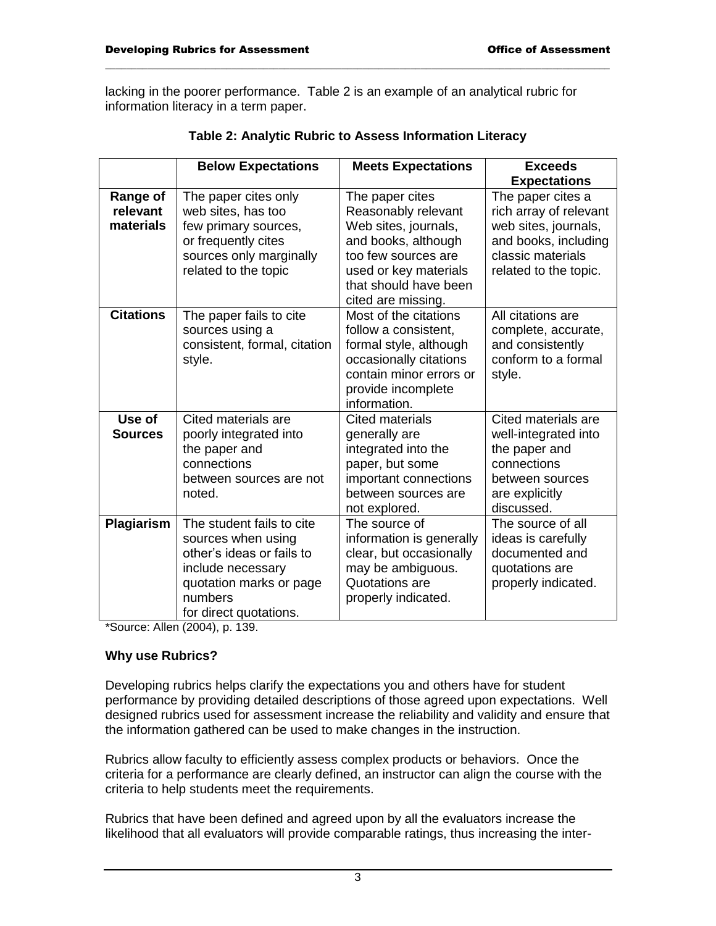lacking in the poorer performance. Table 2 is an example of an analytical rubric for information literacy in a term paper.

|                                          | <b>Below Expectations</b>                                                                                                                                         | <b>Meets Expectations</b>                                                                                                                                                            | <b>Exceeds</b>                                                                                                                            |
|------------------------------------------|-------------------------------------------------------------------------------------------------------------------------------------------------------------------|--------------------------------------------------------------------------------------------------------------------------------------------------------------------------------------|-------------------------------------------------------------------------------------------------------------------------------------------|
|                                          |                                                                                                                                                                   |                                                                                                                                                                                      | <b>Expectations</b>                                                                                                                       |
| <b>Range of</b><br>relevant<br>materials | The paper cites only<br>web sites, has too<br>few primary sources,<br>or frequently cites<br>sources only marginally<br>related to the topic                      | The paper cites<br>Reasonably relevant<br>Web sites, journals,<br>and books, although<br>too few sources are<br>used or key materials<br>that should have been<br>cited are missing. | The paper cites a<br>rich array of relevant<br>web sites, journals,<br>and books, including<br>classic materials<br>related to the topic. |
| <b>Citations</b>                         | The paper fails to cite<br>sources using a<br>consistent, formal, citation<br>style.                                                                              | Most of the citations<br>follow a consistent,<br>formal style, although<br>occasionally citations<br>contain minor errors or<br>provide incomplete<br>information.                   | All citations are<br>complete, accurate,<br>and consistently<br>conform to a formal<br>style.                                             |
| Use of<br><b>Sources</b>                 | Cited materials are<br>poorly integrated into<br>the paper and<br>connections<br>between sources are not<br>noted.                                                | <b>Cited materials</b><br>generally are<br>integrated into the<br>paper, but some<br>important connections<br>between sources are<br>not explored.                                   | Cited materials are<br>well-integrated into<br>the paper and<br>connections<br>between sources<br>are explicitly<br>discussed.            |
| Plagiarism                               | The student fails to cite<br>sources when using<br>other's ideas or fails to<br>include necessary<br>quotation marks or page<br>numbers<br>for direct quotations. | The source of<br>information is generally<br>clear, but occasionally<br>may be ambiguous.<br>Quotations are<br>properly indicated.                                                   | The source of all<br>ideas is carefully<br>documented and<br>quotations are<br>properly indicated.                                        |

| Table 2: Analytic Rubric to Assess Information Literacy |  |
|---------------------------------------------------------|--|
|---------------------------------------------------------|--|

 $\mathcal{L}_\mathcal{L} = \{ \mathcal{L}_\mathcal{L} = \{ \mathcal{L}_\mathcal{L} = \{ \mathcal{L}_\mathcal{L} = \{ \mathcal{L}_\mathcal{L} = \{ \mathcal{L}_\mathcal{L} = \{ \mathcal{L}_\mathcal{L} = \{ \mathcal{L}_\mathcal{L} = \{ \mathcal{L}_\mathcal{L} = \{ \mathcal{L}_\mathcal{L} = \{ \mathcal{L}_\mathcal{L} = \{ \mathcal{L}_\mathcal{L} = \{ \mathcal{L}_\mathcal{L} = \{ \mathcal{L}_\mathcal{L} = \{ \mathcal{L}_\mathcal{$ 

\*Source: Allen (2004), p. 139.

### **Why use Rubrics?**

Developing rubrics helps clarify the expectations you and others have for student performance by providing detailed descriptions of those agreed upon expectations. Well designed rubrics used for assessment increase the reliability and validity and ensure that the information gathered can be used to make changes in the instruction.

Rubrics allow faculty to efficiently assess complex products or behaviors. Once the criteria for a performance are clearly defined, an instructor can align the course with the criteria to help students meet the requirements.

Rubrics that have been defined and agreed upon by all the evaluators increase the likelihood that all evaluators will provide comparable ratings, thus increasing the inter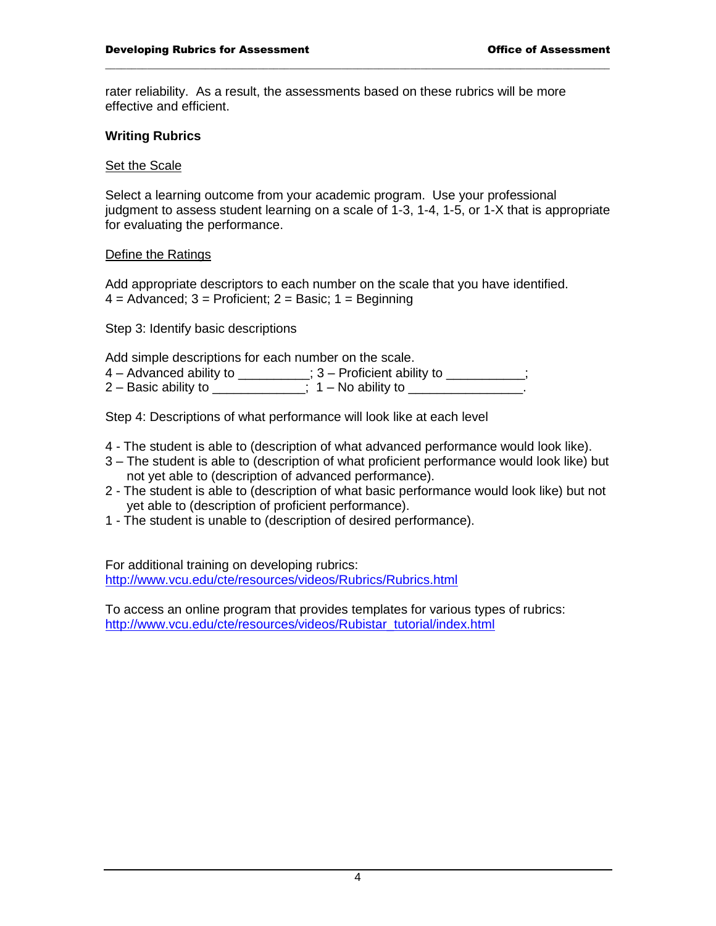rater reliability. As a result, the assessments based on these rubrics will be more effective and efficient.

 $\mathcal{L}_\mathcal{L} = \{ \mathcal{L}_\mathcal{L} = \{ \mathcal{L}_\mathcal{L} = \{ \mathcal{L}_\mathcal{L} = \{ \mathcal{L}_\mathcal{L} = \{ \mathcal{L}_\mathcal{L} = \{ \mathcal{L}_\mathcal{L} = \{ \mathcal{L}_\mathcal{L} = \{ \mathcal{L}_\mathcal{L} = \{ \mathcal{L}_\mathcal{L} = \{ \mathcal{L}_\mathcal{L} = \{ \mathcal{L}_\mathcal{L} = \{ \mathcal{L}_\mathcal{L} = \{ \mathcal{L}_\mathcal{L} = \{ \mathcal{L}_\mathcal{$ 

#### **Writing Rubrics**

#### Set the Scale

Select a learning outcome from your academic program. Use your professional judgment to assess student learning on a scale of 1-3, 1-4, 1-5, or 1-X that is appropriate for evaluating the performance.

#### Define the Ratings

Add appropriate descriptors to each number on the scale that you have identified.  $4 =$  Advanced;  $3 =$  Proficient;  $2 =$  Basic;  $1 =$  Beginning

Step 3: Identify basic descriptions

Add simple descriptions for each number on the scale.

4 – Advanced ability to \_\_\_\_\_\_\_\_; 3 – Proficient ability to \_\_\_\_\_\_\_\_;

2 – Basic ability to  $\therefore$  1 – No ability to  $\therefore$ 

Step 4: Descriptions of what performance will look like at each level

- 4 The student is able to (description of what advanced performance would look like).
- 3 The student is able to (description of what proficient performance would look like) but not yet able to (description of advanced performance).
- 2 The student is able to (description of what basic performance would look like) but not yet able to (description of proficient performance).
- 1 The student is unable to (description of desired performance).

For additional training on developing rubrics: <http://www.vcu.edu/cte/resources/videos/Rubrics/Rubrics.html>

To access an online program that provides templates for various types of rubrics: [http://www.vcu.edu/cte/resources/videos/Rubistar\\_tutorial/index.html](http://www.vcu.edu/cte/resources/videos/Rubistar_tutorial/index.html)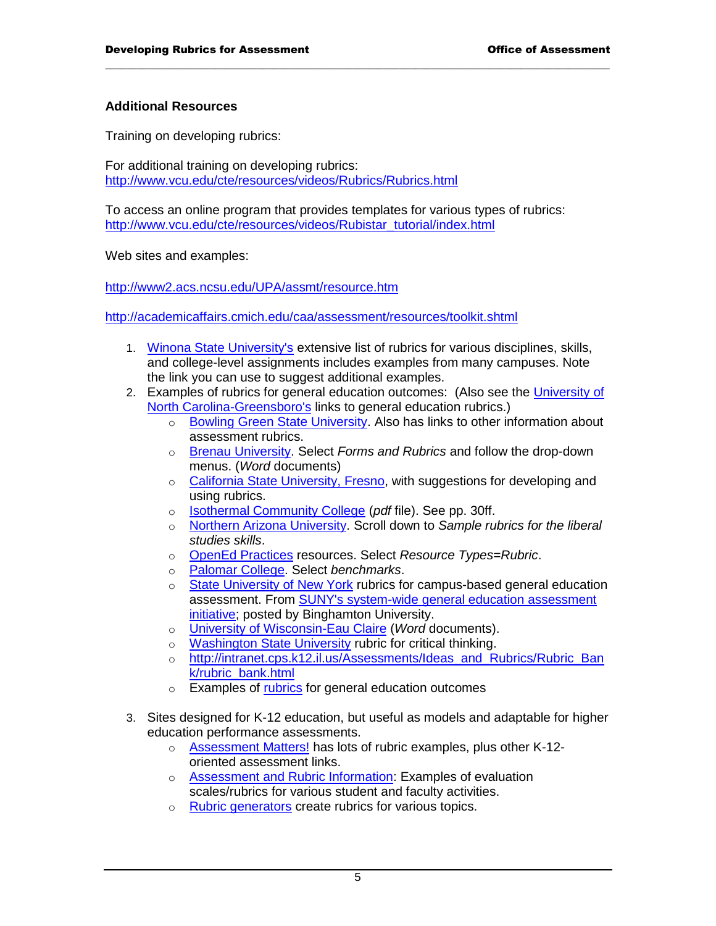#### **Additional Resources**

Training on developing rubrics:

For additional training on developing rubrics: <http://www.vcu.edu/cte/resources/videos/Rubrics/Rubrics.html>

To access an online program that provides templates for various types of rubrics: [http://www.vcu.edu/cte/resources/videos/Rubistar\\_tutorial/index.html](http://www.vcu.edu/cte/resources/videos/Rubistar_tutorial/index.html)

 $\mathcal{L}_\mathcal{L} = \{ \mathcal{L}_\mathcal{L} = \{ \mathcal{L}_\mathcal{L} = \{ \mathcal{L}_\mathcal{L} = \{ \mathcal{L}_\mathcal{L} = \{ \mathcal{L}_\mathcal{L} = \{ \mathcal{L}_\mathcal{L} = \{ \mathcal{L}_\mathcal{L} = \{ \mathcal{L}_\mathcal{L} = \{ \mathcal{L}_\mathcal{L} = \{ \mathcal{L}_\mathcal{L} = \{ \mathcal{L}_\mathcal{L} = \{ \mathcal{L}_\mathcal{L} = \{ \mathcal{L}_\mathcal{L} = \{ \mathcal{L}_\mathcal{$ 

Web sites and examples:

<http://www2.acs.ncsu.edu/UPA/assmt/resource.htm>

<http://academicaffairs.cmich.edu/caa/assessment/resources/toolkit.shtml>

- 1. [Winona State University's](http://www.winona.edu/air/rubrics.htm) extensive list of rubrics for various disciplines, skills, and college-level assignments includes examples from many campuses. Note the link you can use to suggest additional examples.
- 2. Examples of rubrics for general education outcomes: (Also see the [University of](http://assessment.uncg.edu/GEDassess.htm)  [North Carolina-Greensboro's](http://assessment.uncg.edu/GEDassess.htm) links to general education rubrics.)
	- o [Bowling Green State University.](http://www.bgsu.edu/offices/assessment/page31439.html) Also has links to other information about assessment rubrics.
	- o [Brenau University.](http://intranet.brenau.edu/assessment/) Select *Forms and Rubrics* and follow the drop-down menus. (*Word* documents)
	- o [California State University, Fresno,](http://www.csufresno.edu/irap/assessment/rubric.shtml) with suggestions for developing and using rubrics.
	- o [Isothermal Community College](http://www.isothermal.edu/talc/assessment/AssessmentHistory.pdf) (*pdf* file). See pp. 30ff.
	- o [Northern Arizona University.](http://www4.nau.edu/assessment/assessment/liberal/) Scroll down to *Sample rubrics for the liberal studies skills*.
	- o [OpenEd Practices](http://openedpractices.org/resources) resources. Select *Resource Types=Rubric*.
	- o [Palomar College.](http://www.palomar.edu/alp/) Select *benchmarks*.
	- o [State University of New York](http://assessment.binghamton.edu/gened.html) rubrics for campus-based general education assessment. From [SUNY's system-wide general education assessment](http://www2.acs.ncsu.edu/UPA/assmt/resource.htm#suny#suny)  [initiative;](http://www2.acs.ncsu.edu/UPA/assmt/resource.htm#suny#suny) posted by Binghamton University.
	- o [University of Wisconsin-Eau Claire](http://www.uwec.edu/assess/rubrics/index.htm) (*Word* documents).
	- o [Washington State University](http://wsuctproject.wsu.edu/ctr.htm) rubric for critical thinking.
	- o http://intranet.cps.k12.il.us/Assessments/Ideas and Rubrics/Rubric Ban [k/rubric\\_bank.html](http://intranet.cps.k12.il.us/Assessments/Ideas_and_Rubrics/Rubric_Bank/rubric_bank.html)
	- o Examples of [rubrics](http://www2.acs.ncsu.edu/UPA/assmt/resource.htm#gened_rubrics#gened_rubrics) for general education outcomes
- 3. Sites designed for K-12 education, but useful as models and adaptable for higher education performance assessments.
	- o [Assessment Matters!](http://members.tripod.com/~ozpk/assess.html) has lots of rubric examples, plus other K-12 oriented assessment links.
	- o [Assessment and Rubric Information:](http://school.discoveryeducation.com/schrockguide/assess.html) Examples of evaluation scales/rubrics for various student and faculty activities.
	- o [Rubric generators](http://www.teach-nology.com/web_tools/rubrics/) create rubrics for various topics.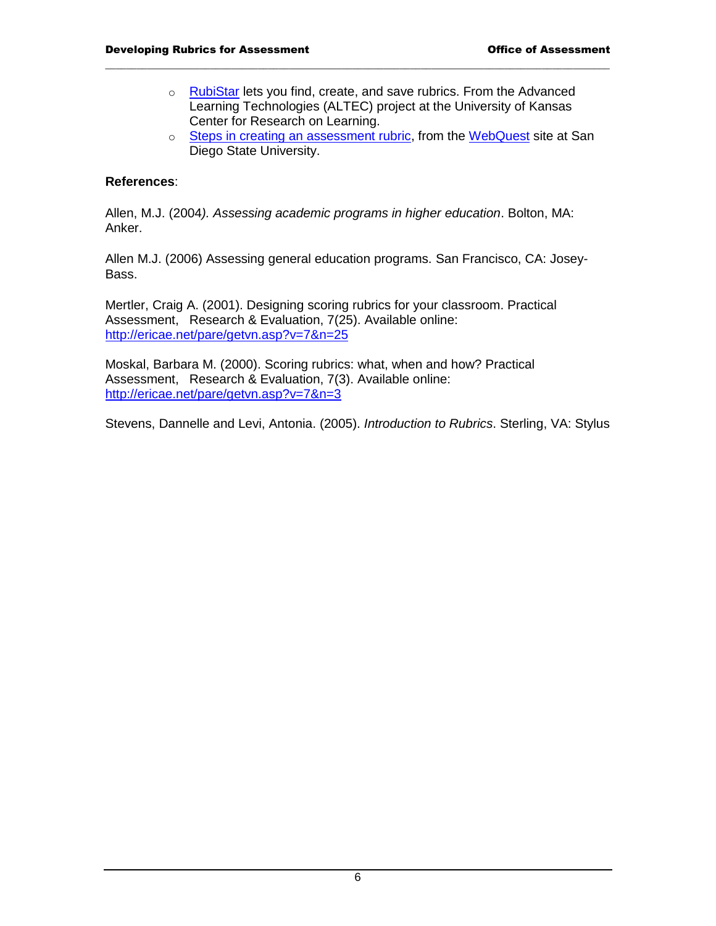o [RubiStar](http://rubistar.4teachers.org/index.php) lets you find, create, and save rubrics. From the Advanced Learning Technologies (ALTEC) project at the University of Kansas Center for Research on Learning.

 $\mathcal{L}_\mathcal{L} = \{ \mathcal{L}_\mathcal{L} = \{ \mathcal{L}_\mathcal{L} = \{ \mathcal{L}_\mathcal{L} = \{ \mathcal{L}_\mathcal{L} = \{ \mathcal{L}_\mathcal{L} = \{ \mathcal{L}_\mathcal{L} = \{ \mathcal{L}_\mathcal{L} = \{ \mathcal{L}_\mathcal{L} = \{ \mathcal{L}_\mathcal{L} = \{ \mathcal{L}_\mathcal{L} = \{ \mathcal{L}_\mathcal{L} = \{ \mathcal{L}_\mathcal{L} = \{ \mathcal{L}_\mathcal{L} = \{ \mathcal{L}_\mathcal{$ 

o [Steps in creating an assessment rubric,](http://webquest.sdsu.edu/rubrics/rubrics.html) from the [WebQuest](http://webquest.sdsu.edu/) site at San Diego State University.

#### **References**:

Allen, M.J. (2004*). Assessing academic programs in higher education*. Bolton, MA: Anker.

Allen M.J. (2006) Assessing general education programs. San Francisco, CA: Josey-Bass.

Mertler, Craig A. (2001). Designing scoring rubrics for your classroom. Practical Assessment, Research & Evaluation, 7(25). Available online: <http://ericae.net/pare/getvn.asp?v=7&n=25>

Moskal, Barbara M. (2000). Scoring rubrics: what, when and how? Practical Assessment, Research & Evaluation, 7(3). Available online: <http://ericae.net/pare/getvn.asp?v=7&n=3>

Stevens, Dannelle and Levi, Antonia. (2005). *Introduction to Rubrics*. Sterling, VA: Stylus